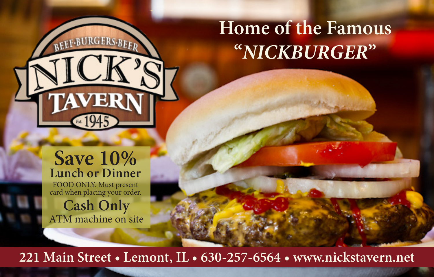### **Home of the Famous "***NICKBURGER***"**

#### **Save 10% Lunch or Dinner**

**TAVER** 

FOOD ONLY. Must present card when placing your order.

**Cash Only** ATM machine on site

**221 Main Street • Lemont, IL • 630-257-6564 • www.nickstavern.net**